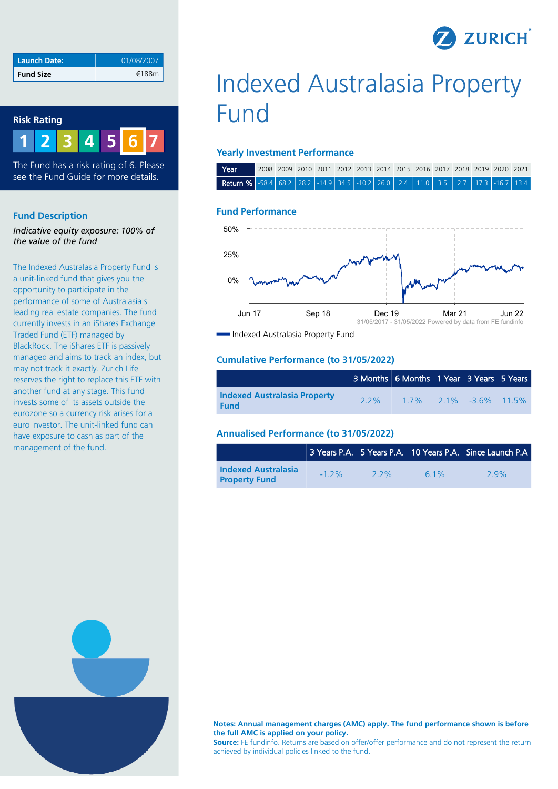

| <b>Launch Date:</b> | 01/08/2007 |
|---------------------|------------|
| Fund Size           | €188m      |

## **Risk Rating**



The Fund has a risk rating of 6. Please see the Fund Guide for more details.

#### **Fund Description**

*Indicative equity exposure: 100% of the value of the fund*

The Indexed Australasia Property Fund is a unit-linked fund that gives you the opportunity to participate in the performance of some of Australasia's leading real estate companies. The fund currently invests in an iShares Exchange Traded Fund (ETF) managed by BlackRock. The iShares ETF is passively managed and aims to track an index, but may not track it exactly. Zurich Life reserves the right to replace this ETF with another fund at any stage. This fund invests some of its assets outside the eurozone so a currency risk arises for a euro investor. The unit-linked fund can have exposure to cash as part of the management of the fund.

# Indexed Australasia Property Fund

#### **Yearly Investment Performance**

| Year                                                                                   |  |  |  |  |  |  | 2008 2009 2010 2011 2012 2013 2014 2015 2016 2017 2018 2019 2020 2021 |  |
|----------------------------------------------------------------------------------------|--|--|--|--|--|--|-----------------------------------------------------------------------|--|
| <b>Return %</b> -58.4 68.2 28.2 -14.9 34.5 -10.2 26.0 2.4 11.0 3.5 2.7 17.3 -16.7 13.4 |  |  |  |  |  |  |                                                                       |  |

## **Fund Performance**



Indexed Australasia Property Fund

#### **Cumulative Performance (to 31/05/2022)**

|                                                    |     | 3 Months 6 Months 1 Year 3 Years 5 Years |  |  |
|----------------------------------------------------|-----|------------------------------------------|--|--|
| <b>Indexed Australasia Property</b><br><b>Fund</b> | 22% | $1.7\%$ 2.1% -3.6% 11.5%                 |  |  |

#### **Annualised Performance (to 31/05/2022)**

|                                                    |         |     |     | 3 Years P.A. 5 Years P.A. 10 Years P.A. Since Launch P.A |
|----------------------------------------------------|---------|-----|-----|----------------------------------------------------------|
| <b>Indexed Australasia</b><br><b>Property Fund</b> | $-1$ 2% | 22% | 61% | 29%                                                      |



**Notes: Annual management charges (AMC) apply. The fund performance shown is before the full AMC is applied on your policy.**

**Source:** FE fundinfo. Returns are based on offer/offer performance and do not represent the return achieved by individual policies linked to the fund.